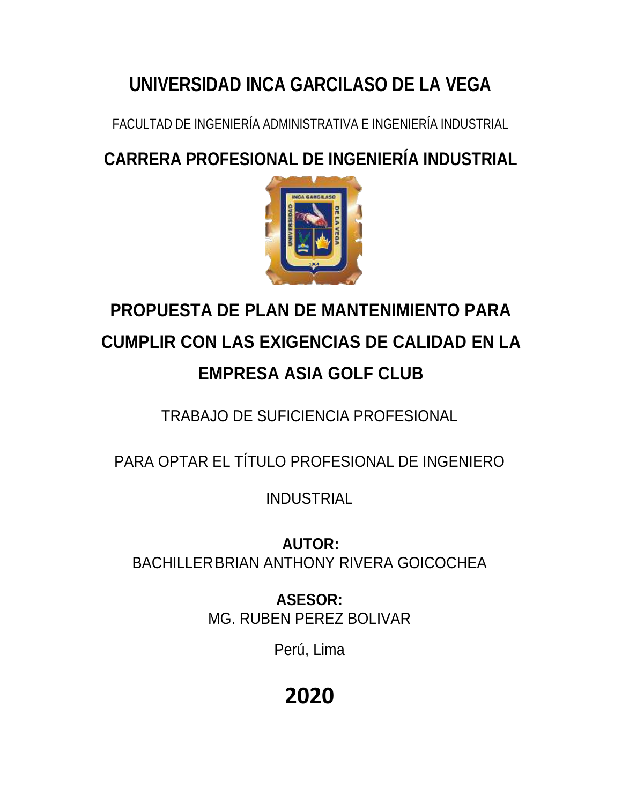### **UNIVERSIDAD INCA GARCILASO DE LA VEGA**

FACULTAD DE INGENIERÍA ADMINISTRATIVA E INGENIERÍA INDUSTRIAL

#### **CARRERA PROFESIONAL DE INGENIERÍA INDUSTRIAL**



# **PROPUESTA DE PLAN DE MANTENIMIENTO PARA CUMPLIR CON LAS EXIGENCIAS DE CALIDAD EN LA EMPRESA ASIA GOLF CLUB**

TRABAJO DE SUFICIENCIA PROFESIONAL

PARA OPTAR EL TÍTULO PROFESIONAL DE INGENIERO

INDUSTRIAL

**AUTOR:** BACHILLERBRIAN ANTHONY RIVERA GOICOCHEA

> **ASESOR:** MG. RUBEN PEREZ BOLIVAR

> > Perú, Lima

## **2020**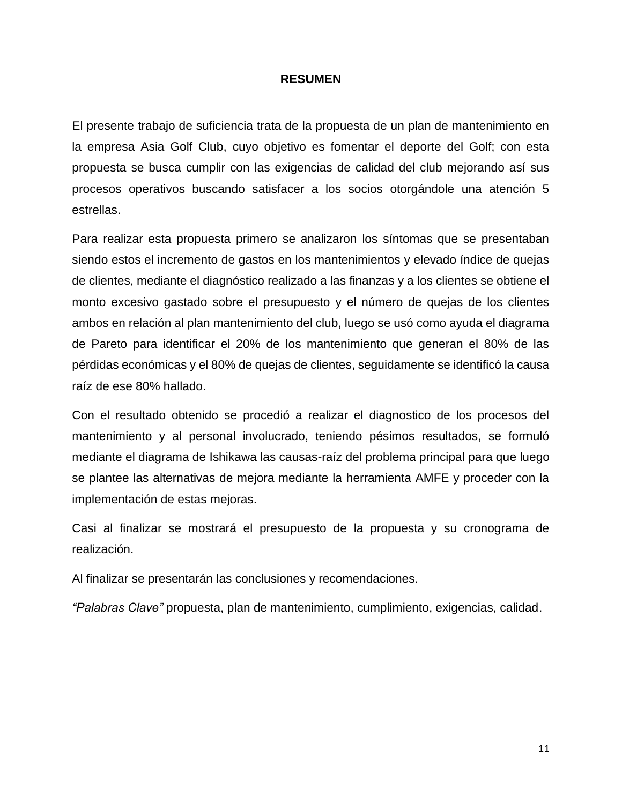#### **RESUMEN**

El presente trabajo de suficiencia trata de la propuesta de un plan de mantenimiento en la empresa Asia Golf Club, cuyo objetivo es fomentar el deporte del Golf; con esta propuesta se busca cumplir con las exigencias de calidad del club mejorando así sus procesos operativos buscando satisfacer a los socios otorgándole una atención 5 estrellas.

Para realizar esta propuesta primero se analizaron los síntomas que se presentaban siendo estos el incremento de gastos en los mantenimientos y elevado índice de quejas de clientes, mediante el diagnóstico realizado a las finanzas y a los clientes se obtiene el monto excesivo gastado sobre el presupuesto y el número de quejas de los clientes ambos en relación al plan mantenimiento del club, luego se usó como ayuda el diagrama de Pareto para identificar el 20% de los mantenimiento que generan el 80% de las pérdidas económicas y el 80% de quejas de clientes, seguidamente se identificó la causa raíz de ese 80% hallado.

Con el resultado obtenido se procedió a realizar el diagnostico de los procesos del mantenimiento y al personal involucrado, teniendo pésimos resultados, se formuló mediante el diagrama de Ishikawa las causas-raíz del problema principal para que luego se plantee las alternativas de mejora mediante la herramienta AMFE y proceder con la implementación de estas mejoras.

Casi al finalizar se mostrará el presupuesto de la propuesta y su cronograma de realización.

Al finalizar se presentarán las conclusiones y recomendaciones.

*"Palabras Clave"* propuesta, plan de mantenimiento, cumplimiento, exigencias, calidad.